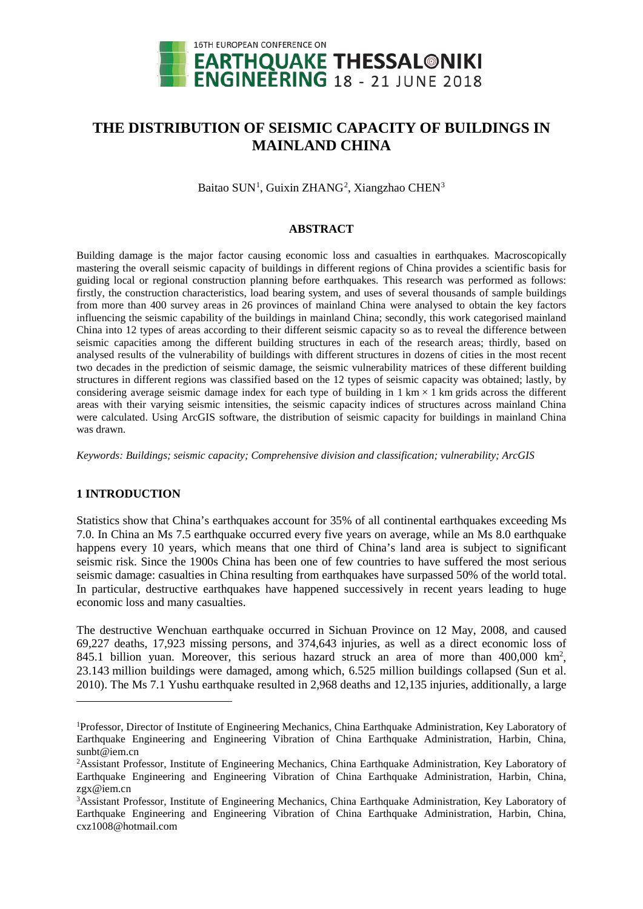

# **THE DISTRIBUTION OF SEISMIC CAPACITY OF BUILDINGS IN MAINLAND CHINA**

Baitao SUN<sup>[1](#page-0-0)</sup>, Guixin ZHANG<sup>[2](#page-0-1)</sup>, Xiangzhao CHEN<sup>3</sup>

## **ABSTRACT**

Building damage is the major factor causing economic loss and casualties in earthquakes. Macroscopically mastering the overall seismic capacity of buildings in different regions of China provides a scientific basis for guiding local or regional construction planning before earthquakes. This research was performed as follows: firstly, the construction characteristics, load bearing system, and uses of several thousands of sample buildings from more than 400 survey areas in 26 provinces of mainland China were analysed to obtain the key factors influencing the seismic capability of the buildings in mainland China; secondly, this work categorised mainland China into 12 types of areas according to their different seismic capacity so as to reveal the difference between seismic capacities among the different building structures in each of the research areas; thirdly, based on analysed results of the vulnerability of buildings with different structures in dozens of cities in the most recent two decades in the prediction of seismic damage, the seismic vulnerability matrices of these different building structures in different regions was classified based on the 12 types of seismic capacity was obtained; lastly, by considering average seismic damage index for each type of building in  $1 \text{ km} \times 1 \text{ km}$  grids across the different areas with their varying seismic intensities, the seismic capacity indices of structures across mainland China were calculated. Using ArcGIS software, the distribution of seismic capacity for buildings in mainland China was drawn.

*Keywords: Buildings; seismic capacity; Comprehensive division and classification; vulnerability; ArcGIS*

# **1 INTRODUCTION**

<u>.</u>

Statistics show that China's earthquakes account for 35% of all continental earthquakes exceeding Ms 7.0. In China an Ms 7.5 earthquake occurred every five years on average, while an Ms 8.0 earthquake happens every 10 years, which means that one third of China's land area is subject to significant seismic risk. Since the 1900s China has been one of few countries to have suffered the most serious seismic damage: casualties in China resulting from earthquakes have surpassed 50% of the world total. In particular, destructive earthquakes have happened successively in recent years leading to huge economic loss and many casualties.

The destructive Wenchuan earthquake occurred in Sichuan Province on 12 May, 2008, and caused 69,227 deaths, 17,923 missing persons, and 374,643 injuries, as well as a direct economic loss of 845.1 billion yuan. Moreover, this serious hazard struck an area of more than 400,000 km<sup>2</sup>, 23.143 million buildings were damaged, among which, 6.525 million buildings collapsed (Sun et al. 2010). The Ms 7.1 Yushu earthquake resulted in 2,968 deaths and 12,135 injuries, additionally, a large

<span id="page-0-0"></span><sup>&</sup>lt;sup>1</sup>Professor, Director of Institute of Engineering Mechanics, China Earthquake Administration, Key Laboratory of Earthquake Engineering and Engineering Vibration of China Earthquake Administration, Harbin, China, sunbt@iem.cn

<span id="page-0-1"></span><sup>&</sup>lt;sup>2</sup>Assistant Professor, Institute of Engineering Mechanics, China Earthquake Administration, Key Laboratory of Earthquake Engineering and Engineering Vibration of China Earthquake Administration, Harbin, China, zgx@iem.cn

<span id="page-0-2"></span><sup>3</sup> Assistant Professor, Institute of Engineering Mechanics, China Earthquake Administration, Key Laboratory of Earthquake Engineering and Engineering Vibration of China Earthquake Administration, Harbin, China, cxz1008@hotmail.com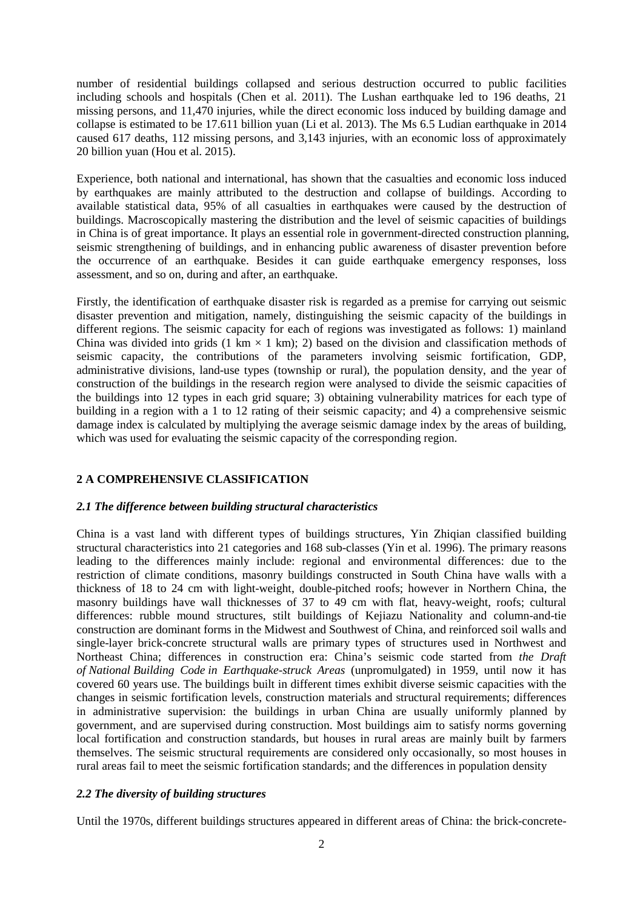number of residential buildings collapsed and serious destruction occurred to public facilities including schools and hospitals (Chen et al. 2011). The Lushan earthquake led to 196 deaths, 21 missing persons, and 11,470 injuries, while the direct economic loss induced by building damage and collapse is estimated to be 17.611 billion yuan (Li et al. 2013). The Ms 6.5 Ludian earthquake in 2014 caused 617 deaths, 112 missing persons, and 3,143 injuries, with an economic loss of approximately 20 billion yuan (Hou et al. 2015).

Experience, both national and international, has shown that the casualties and economic loss induced by earthquakes are mainly attributed to the destruction and collapse of buildings. According to available statistical data, 95% of all casualties in earthquakes were caused by the destruction of buildings. Macroscopically mastering the distribution and the level of seismic capacities of buildings in China is of great importance. It plays an essential role in government-directed construction planning, seismic strengthening of buildings, and in enhancing public awareness of disaster prevention before the occurrence of an earthquake. Besides it can guide earthquake emergency responses, loss assessment, and so on, during and after, an earthquake.

Firstly, the identification of earthquake disaster risk is regarded as a premise for carrying out seismic disaster prevention and mitigation, namely, distinguishing the seismic capacity of the buildings in different regions. The seismic capacity for each of regions was investigated as follows: 1) mainland China was divided into grids (1 km  $\times$  1 km); 2) based on the division and classification methods of seismic capacity, the contributions of the parameters involving seismic fortification, GDP, administrative divisions, land-use types (township or rural), the population density, and the year of construction of the buildings in the research region were analysed to divide the seismic capacities of the buildings into 12 types in each grid square; 3) obtaining vulnerability matrices for each type of building in a region with a 1 to 12 rating of their seismic capacity; and 4) a comprehensive seismic damage index is calculated by multiplying the average seismic damage index by the areas of building, which was used for evaluating the seismic capacity of the corresponding region.

# **2 A COMPREHENSIVE CLASSIFICATION**

## *2.1 The difference between building structural characteristics*

China is a vast land with different types of buildings structures, Yin Zhiqian classified building structural characteristics into 21 categories and 168 sub-classes (Yin et al. 1996). The primary reasons leading to the differences mainly include: regional and environmental differences: due to the restriction of climate conditions, masonry buildings constructed in South China have walls with a thickness of 18 to 24 cm with light-weight, double-pitched roofs; however in Northern China, the masonry buildings have wall thicknesses of 37 to 49 cm with flat, heavy-weight, roofs; cultural differences: rubble mound structures, stilt buildings of Kejiazu Nationality and column-and-tie construction are dominant forms in the Midwest and Southwest of China, and reinforced soil walls and single-layer brick-concrete structural walls are primary types of structures used in Northwest and Northeast China; differences in construction era: China's seismic code started from *the Draft of National Building Code in Earthquake-struck Areas* (unpromulgated) in 1959, until now it has covered 60 years use. The buildings built in different times exhibit diverse seismic capacities with the changes in seismic fortification levels, construction materials and structural requirements; differences in administrative supervision: the buildings in urban China are usually uniformly planned by government, and are supervised during construction. Most buildings aim to satisfy norms governing local fortification and construction standards, but houses in rural areas are mainly built by farmers themselves. The seismic structural requirements are considered only occasionally, so most houses in rural areas fail to meet the seismic fortification standards; and the differences in population density

# *2.2 The diversity of building structures*

Until the 1970s, different buildings structures appeared in different areas of China: the brick-concrete-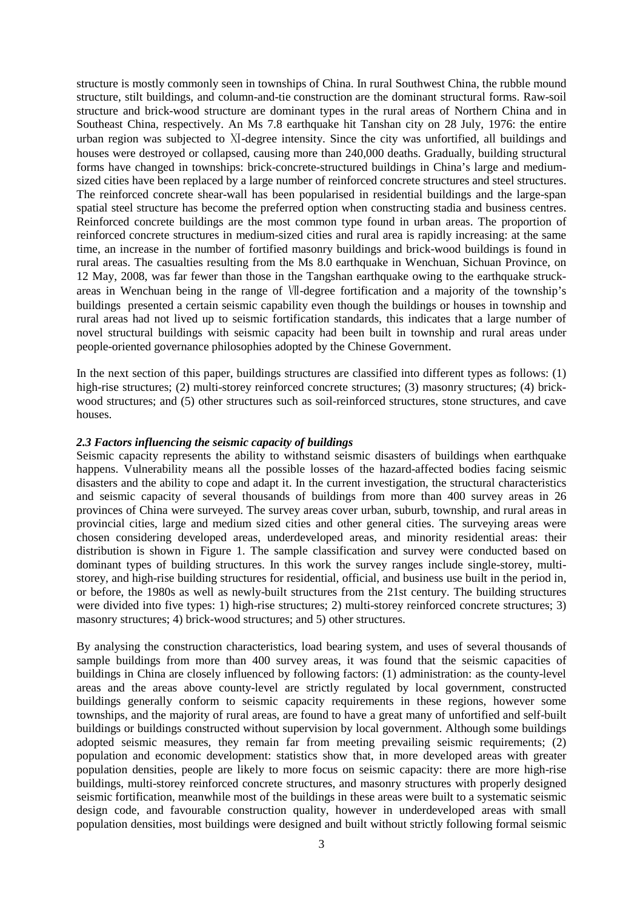structure is mostly commonly seen in townships of China. In rural Southwest China, the rubble mound structure, stilt buildings, and column-and-tie construction are the dominant structural forms. Raw-soil structure and brick-wood structure are dominant types in the rural areas of Northern China and in Southeast China, respectively. An Ms 7.8 earthquake hit Tanshan city on 28 July, 1976: the entire urban region was subjected to Ⅺ-degree intensity. Since the city was unfortified, all buildings and houses were destroyed or collapsed, causing more than 240,000 deaths. Gradually, building structural forms have changed in townships: brick-concrete-structured buildings in China's large and mediumsized cities have been replaced by a large number of reinforced concrete structures and steel structures. The reinforced concrete shear-wall has been popularised in residential buildings and the large-span spatial steel structure has become the preferred option when constructing stadia and business centres. Reinforced concrete buildings are the most common type found in urban areas. The proportion of reinforced concrete structures in medium-sized cities and rural area is rapidly increasing: at the same time, an increase in the number of fortified masonry buildings and brick-wood buildings is found in rural areas. The casualties resulting from the Ms 8.0 earthquake in Wenchuan, Sichuan Province, on 12 May, 2008, was far fewer than those in the Tangshan earthquake owing to the earthquake struckareas in Wenchuan being in the range of Ⅶ-degree fortification and a majority of the township's buildings presented a certain seismic capability even though the buildings or houses in township and rural areas had not lived up to seismic fortification standards, this indicates that a large number of novel structural buildings with seismic capacity had been built in township and rural areas under people-oriented governance philosophies adopted by the Chinese Government.

In the next section of this paper, buildings structures are classified into different types as follows: (1) high-rise structures; (2) multi-storey reinforced concrete structures; (3) masonry structures; (4) brickwood structures; and (5) other structures such as soil-reinforced structures, stone structures, and cave houses.

## *2.3 Factors influencing the seismic capacity of buildings*

Seismic capacity represents the ability to withstand seismic disasters of buildings when earthquake happens. Vulnerability means all the possible losses of the hazard-affected bodies facing seismic disasters and the ability to cope and adapt it. In the current investigation, the structural characteristics and seismic capacity of several thousands of buildings from more than 400 survey areas in 26 provinces of China were surveyed. The survey areas cover urban, suburb, township, and rural areas in provincial cities, large and medium sized cities and other general cities. The surveying areas were chosen considering developed areas, underdeveloped areas, and minority residential areas: their distribution is shown in Figure 1. The sample classification and survey were conducted based on dominant types of building structures. In this work the survey ranges include single-storey, multistorey, and high-rise building structures for residential, official, and business use built in the period in, or before, the 1980s as well as newly-built structures from the 21st century. The building structures were divided into five types: 1) high-rise structures; 2) multi-storey reinforced concrete structures; 3) masonry structures; 4) brick-wood structures; and 5) other structures.

By analysing the construction characteristics, load bearing system, and uses of several thousands of sample buildings from more than 400 survey areas, it was found that the seismic capacities of buildings in China are closely influenced by following factors: (1) administration: as the county-level areas and the areas above county-level are strictly regulated by local government, constructed buildings generally conform to seismic capacity requirements in these regions, however some townships, and the majority of rural areas, are found to have a great many of unfortified and self-built buildings or buildings constructed without supervision by local government. Although some buildings adopted seismic measures, they remain far from meeting prevailing seismic requirements; (2) population and economic development: statistics show that, in more developed areas with greater population densities, people are likely to more focus on seismic capacity: there are more high-rise buildings, multi-storey reinforced concrete structures, and masonry structures with properly designed seismic fortification, meanwhile most of the buildings in these areas were built to a systematic seismic design code, and favourable construction quality, however in underdeveloped areas with small population densities, most buildings were designed and built without strictly following formal seismic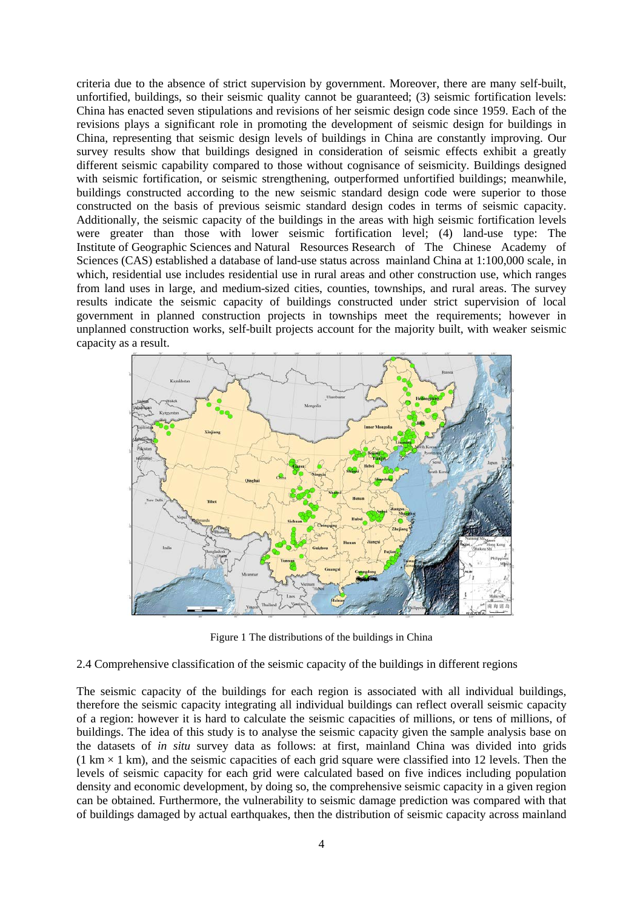criteria due to the absence of strict supervision by government. Moreover, there are many self-built, unfortified, buildings, so their seismic quality cannot be guaranteed; (3) seismic fortification levels: China has enacted seven stipulations and revisions of her seismic design code since 1959. Each of the revisions plays a significant role in promoting the development of seismic design for buildings in China, representing that seismic design levels of buildings in China are constantly improving. Our survey results show that buildings designed in consideration of seismic effects exhibit a greatly different seismic capability compared to those without cognisance of seismicity. Buildings designed with seismic fortification, or seismic strengthening, outperformed unfortified buildings; meanwhile, buildings constructed according to the new seismic standard design code were superior to those constructed on the basis of previous seismic standard design codes in terms of seismic capacity. Additionally, the seismic capacity of the buildings in the areas with high seismic fortification levels were greater than those with lower seismic fortification level; (4) land-use type: The Institute of Geographic Sciences and Natural Resources Research of The Chinese Academy of Sciences (CAS) established a database of land-use status across mainland China at 1:100,000 scale, in which, residential use includes residential use in rural areas and other construction use, which ranges from land uses in large, and medium-sized cities, counties, townships, and rural areas. The survey results indicate the seismic capacity of buildings constructed under strict supervision of local government in planned construction projects in townships meet the requirements; however in unplanned construction works, self-built projects account for the majority built, with weaker seismic capacity as a result.



Figure 1 The distributions of the buildings in China

2.4 Comprehensive classification of the seismic capacity of the buildings in different regions

The seismic capacity of the buildings for each region is associated with all individual buildings, therefore the seismic capacity integrating all individual buildings can reflect overall seismic capacity of a region: however it is hard to calculate the seismic capacities of millions, or tens of millions, of buildings. The idea of this study is to analyse the seismic capacity given the sample analysis base on the datasets of *in situ* survey data as follows: at first, mainland China was divided into grids  $(1 \text{ km} \times 1 \text{ km})$ , and the seismic capacities of each grid square were classified into 12 levels. Then the levels of seismic capacity for each grid were calculated based on five indices including population density and economic development, by doing so, the comprehensive seismic capacity in a given region can be obtained. Furthermore, the vulnerability to seismic damage prediction was compared with that of buildings damaged by actual earthquakes, then the distribution of seismic capacity across mainland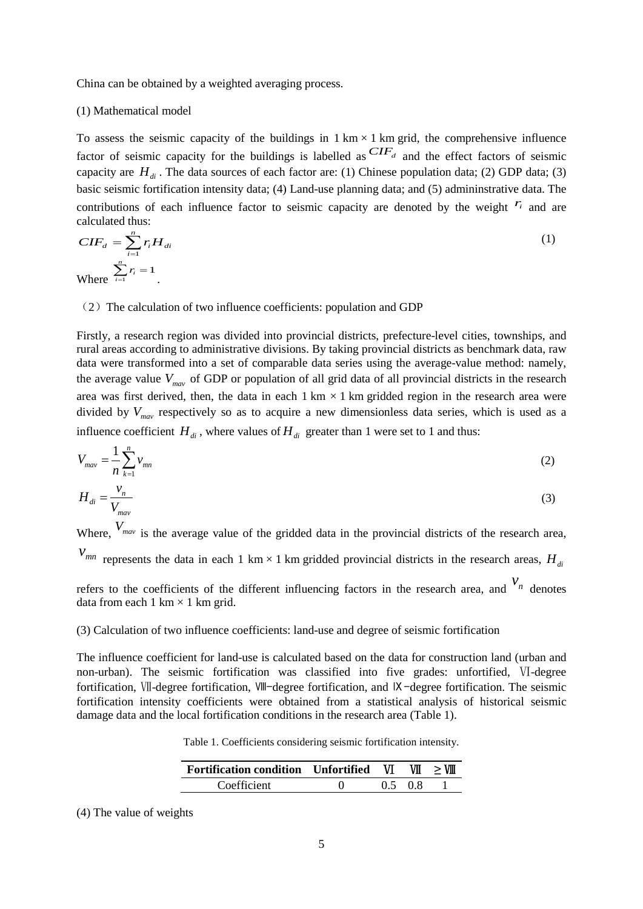China can be obtained by a weighted averaging process.

#### (1) Mathematical model

To assess the seismic capacity of the buildings in  $1 \text{ km} \times 1 \text{ km}$  grid, the comprehensive influence factor of seismic capacity for the buildings is labelled as  $CIF<sub>d</sub>$  and the effect factors of seismic capacity are  $H_{di}$ . The data sources of each factor are: (1) Chinese population data; (2) GDP data; (3) basic seismic fortification intensity data; (4) Land-use planning data; and (5) admininstrative data. The contributions of each influence factor to seismic capacity are denoted by the weight  $r_i$  and are calculated thus:

$$
CIF_d = \sum_{i=1}^{n} r_i H_{di}
$$
  
Where 
$$
\sum_{i=1}^{n} r_i = 1
$$

#### $(2)$  The calculation of two influence coefficients: population and GDP

Firstly, a research region was divided into provincial districts, prefecture-level cities, townships, and rural areas according to administrative divisions. By taking provincial districts as benchmark data, raw data were transformed into a set of comparable data series using the average-value method: namely, the average value  $V_{\text{max}}$  of GDP or population of all grid data of all provincial districts in the research area was first derived, then, the data in each  $1 \text{ km} \times 1 \text{ km}$  gridded region in the research area were divided by  $V_{\text{max}}$  respectively so as to acquire a new dimensionless data series, which is used as a influence coefficient  $H_{di}$ , where values of  $H_{di}$  greater than 1 were set to 1 and thus:

$$
V_{\text{max}} = \frac{1}{n} \sum_{k=1}^{n} v_{\text{min}}
$$
 (2)

$$
H_{di} = \frac{V_n}{V_{mav}}
$$
 (3)

Where,  $V_{\text{max}}$  is the average value of the gridded data in the provincial districts of the research area,

 $v_{mn}$  represents the data in each 1 km × 1 km gridded provincial districts in the research areas,  $H_{di}$ 

refers to the coefficients of the different influencing factors in the research area, and  $v_n$  denotes data from each 1 km  $\times$  1 km grid.

#### (3) Calculation of two influence coefficients: land-use and degree of seismic fortification

The influence coefficient for land-use is calculated based on the data for construction land (urban and non-urban). The seismic fortification was classified into five grades: unfortified, Ⅵ-degree fortification, Ⅶ-degree fortification, Ⅷ-degree fortification, and Ⅸ-degree fortification. The seismic fortification intensity coefficients were obtained from a statistical analysis of historical seismic damage data and the local fortification conditions in the research area (Table 1).

Table 1. Coefficients considering seismic fortification intensity.

| Fortification condition Unfortified VI |  |      | VII > VIII |
|----------------------------------------|--|------|------------|
| Coefficient                            |  | 0508 |            |

(4) The value of weights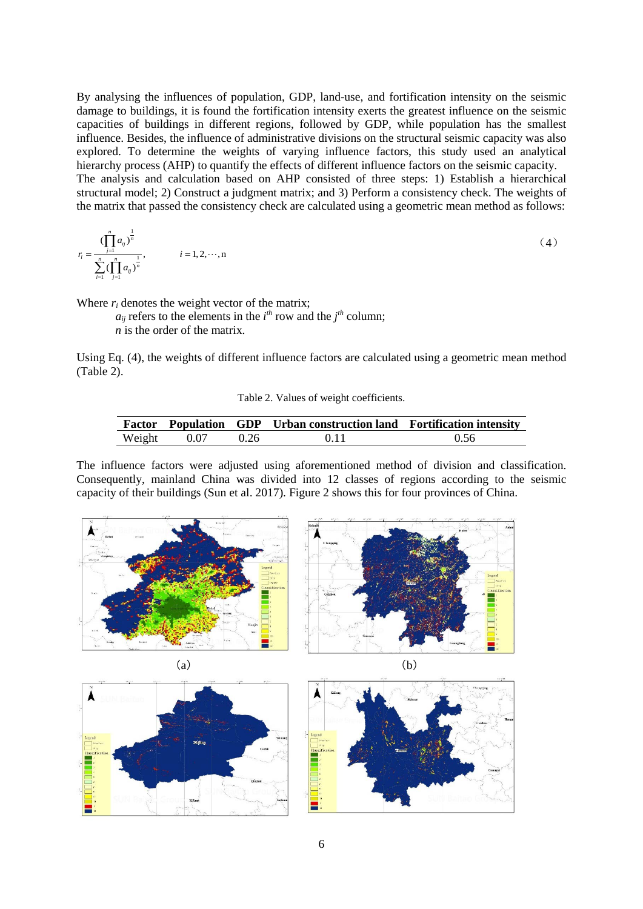By analysing the influences of population, GDP, land-use, and fortification intensity on the seismic damage to buildings, it is found the fortification intensity exerts the greatest influence on the seismic capacities of buildings in different regions, followed by GDP, while population has the smallest influence. Besides, the influence of administrative divisions on the structural seismic capacity was also explored. To determine the weights of varying influence factors, this study used an analytical hierarchy process (AHP) to quantify the effects of different influence factors on the seismic capacity. The analysis and calculation based on AHP consisted of three steps: 1) Establish a hierarchical structural model; 2) Construct a judgment matrix; and 3) Perform a consistency check. The weights of the matrix that passed the consistency check are calculated using a geometric mean method as follows:

$$
r_{i} = \frac{\left(\prod_{j=1}^{n} a_{ij}\right)^{\frac{1}{n}}}{\sum_{i=1}^{n} \left(\prod_{j=1}^{n} a_{ij}\right)^{\frac{1}{n}}}, \qquad i = 1, 2, \dots, n
$$
\n(4)

Where  $r_i$  denotes the weight vector of the matrix;

 $a_{ij}$  refers to the elements in the *i*<sup>th</sup> row and the *j*<sup>th</sup> column;

*n* is the order of the matrix.

Using Eq. (4), the weights of different influence factors are calculated using a geometric mean method (Table 2).

Table 2. Values of weight coefficients.

|        |      |      | <b>Factor</b> Population GDP Urban construction land Fortification intensity |      |
|--------|------|------|------------------------------------------------------------------------------|------|
| Weight | 0.07 | 0.26 | 0.11                                                                         | 0.56 |

The influence factors were adjusted using aforementioned method of division and classification. Consequently, mainland China was divided into 12 classes of regions according to the seismic capacity of their buildings (Sun et al. 2017). Figure 2 shows this for four provinces of China.









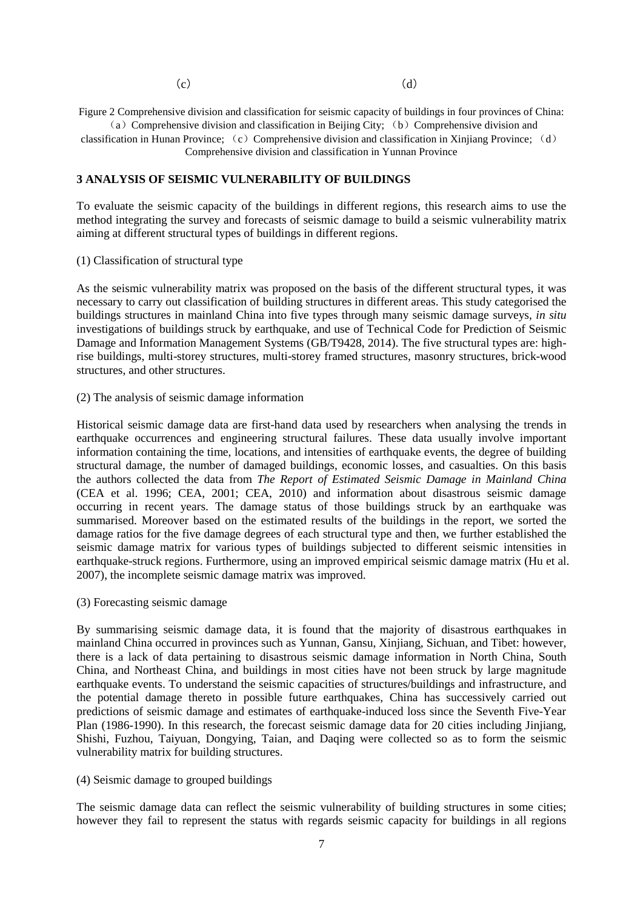$(c)$  (d)

Figure 2 Comprehensive division and classification for seismic capacity of buildings in four provinces of China: (a) Comprehensive division and classification in Beijing City; (b) Comprehensive division and

classification in Hunan Province: (c) Comprehensive division and classification in Xiniiang Province; (d) Comprehensive division and classification in Yunnan Province

## **3 ANALYSIS OF SEISMIC VULNERABILITY OF BUILDINGS**

To evaluate the seismic capacity of the buildings in different regions, this research aims to use the method integrating the survey and forecasts of seismic damage to build a seismic vulnerability matrix aiming at different structural types of buildings in different regions.

#### (1) Classification of structural type

As the seismic vulnerability matrix was proposed on the basis of the different structural types, it was necessary to carry out classification of building structures in different areas. This study categorised the buildings structures in mainland China into five types through many seismic damage surveys, *in situ* investigations of buildings struck by earthquake, and use of Technical Code for Prediction of Seismic Damage and Information Management Systems (GB/T9428, 2014). The five structural types are: highrise buildings, multi-storey structures, multi-storey framed structures, masonry structures, brick-wood structures, and other structures.

#### (2) The analysis of seismic damage information

Historical seismic damage data are first-hand data used by researchers when analysing the trends in earthquake occurrences and engineering structural failures. These data usually involve important information containing the time, locations, and intensities of earthquake events, the degree of building structural damage, the number of damaged buildings, economic losses, and casualties. On this basis the authors collected the data from *The Report of Estimated Seismic Damage in Mainland China* (CEA et al. 1996; CEA, 2001; CEA, 2010) and information about disastrous seismic damage occurring in recent years. The damage status of those buildings struck by an earthquake was summarised. Moreover based on the estimated results of the buildings in the report, we sorted the damage ratios for the five damage degrees of each structural type and then, we further established the seismic damage matrix for various types of buildings subjected to different seismic intensities in earthquake-struck regions. Furthermore, using an improved empirical seismic damage matrix (Hu et al. 2007), the incomplete seismic damage matrix was improved.

(3) Forecasting seismic damage

By summarising seismic damage data, it is found that the majority of disastrous earthquakes in mainland China occurred in provinces such as Yunnan, Gansu, Xinjiang, Sichuan, and Tibet: however, there is a lack of data pertaining to disastrous seismic damage information in North China, South China, and Northeast China, and buildings in most cities have not been struck by large magnitude earthquake events. To understand the seismic capacities of structures/buildings and infrastructure, and the potential damage thereto in possible future earthquakes, China has successively carried out predictions of seismic damage and estimates of earthquake-induced loss since the Seventh Five-Year Plan (1986-1990). In this research, the forecast seismic damage data for 20 cities including Jinjiang, Shishi, Fuzhou, Taiyuan, Dongying, Taian, and Daqing were collected so as to form the seismic vulnerability matrix for building structures.

#### (4) Seismic damage to grouped buildings

The seismic damage data can reflect the seismic vulnerability of building structures in some cities; however they fail to represent the status with regards seismic capacity for buildings in all regions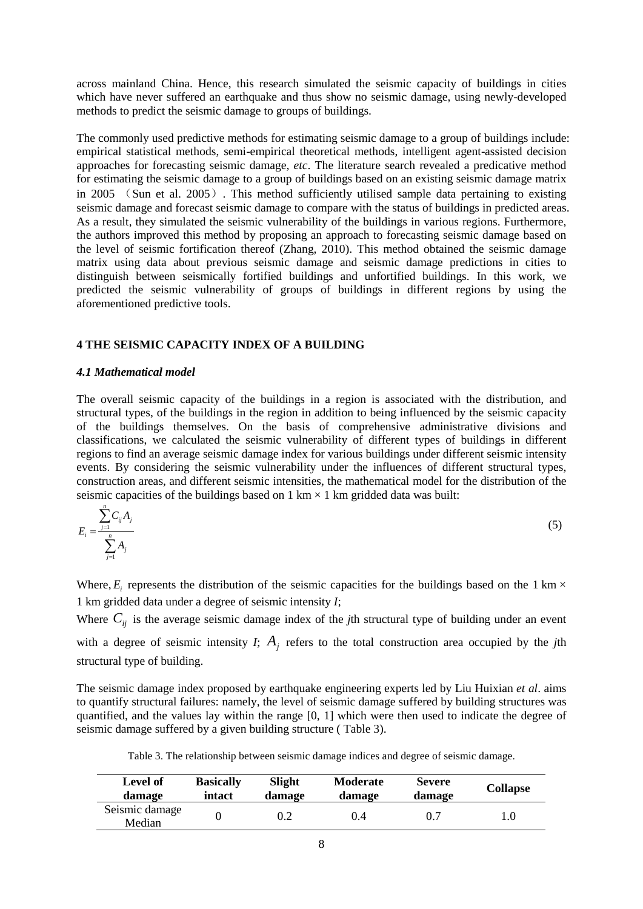across mainland China. Hence, this research simulated the seismic capacity of buildings in cities which have never suffered an earthquake and thus show no seismic damage, using newly-developed methods to predict the seismic damage to groups of buildings.

The commonly used predictive methods for estimating seismic damage to a group of buildings include: empirical statistical methods, semi-empirical theoretical methods, intelligent agent-assisted decision approaches for forecasting seismic damage, *etc*. The literature search revealed a predicative method for estimating the seismic damage to a group of buildings based on an existing seismic damage matrix in 2005 (Sun et al. 2005). This method sufficiently utilised sample data pertaining to existing seismic damage and forecast seismic damage to compare with the status of buildings in predicted areas. As a result, they simulated the seismic vulnerability of the buildings in various regions. Furthermore, the authors improved this method by proposing an approach to forecasting seismic damage based on the level of seismic fortification thereof (Zhang, 2010). This method obtained the seismic damage matrix using data about previous seismic damage and seismic damage predictions in cities to distinguish between seismically fortified buildings and unfortified buildings. In this work, we predicted the seismic vulnerability of groups of buildings in different regions by using the aforementioned predictive tools.

## **4 THE SEISMIC CAPACITY INDEX OF A BUILDING**

#### *4.1 Mathematical model*

The overall seismic capacity of the buildings in a region is associated with the distribution, and structural types, of the buildings in the region in addition to being influenced by the seismic capacity of the buildings themselves. On the basis of comprehensive administrative divisions and classifications, we calculated the seismic vulnerability of different types of buildings in different regions to find an average seismic damage index for various buildings under different seismic intensity events. By considering the seismic vulnerability under the influences of different structural types, construction areas, and different seismic intensities, the mathematical model for the distribution of the seismic capacities of the buildings based on  $1 \text{ km} \times 1 \text{ km}$  gridded data was built:

$$
E_{i} = \frac{\sum_{j=1}^{n} C_{ij} A_{j}}{\sum_{j=1}^{n} A_{j}}
$$
 (5)

Where,  $E_i$  represents the distribution of the seismic capacities for the buildings based on the 1 km  $\times$ 1 km gridded data under a degree of seismic intensity *I*;

Where  $C_{ij}$  is the average seismic damage index of the *j*th structural type of building under an event

with a degree of seismic intensity  $I$ ;  $A_i$  refers to the total construction area occupied by the *j*th structural type of building.

The seismic damage index proposed by earthquake engineering experts led by Liu Huixian *et al*. aims to quantify structural failures: namely, the level of seismic damage suffered by building structures was quantified, and the values lay within the range [0, 1] which were then used to indicate the degree of seismic damage suffered by a given building structure ( Table 3).

Table 3. The relationship between seismic damage indices and degree of seismic damage.

| Level of                 | <b>Basically</b> | Slight | <b>Moderate</b> | <b>Severe</b> | <b>Collapse</b> |
|--------------------------|------------------|--------|-----------------|---------------|-----------------|
| damage                   | intact           | damage | damage          | damage        |                 |
| Seismic damage<br>Median |                  |        | 0.4             | 0.7           |                 |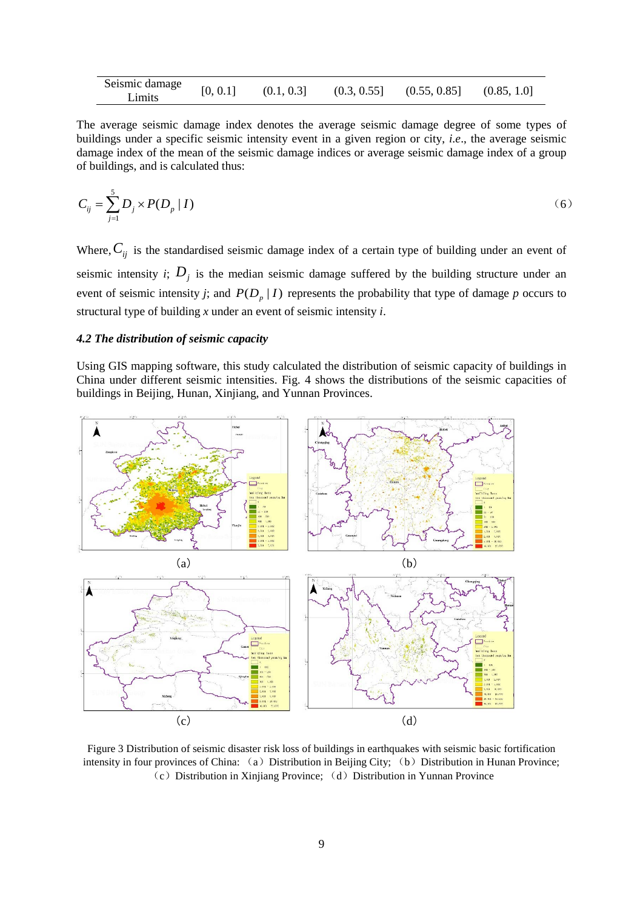| Seismic damage<br>Limits | [0, 0.1] | (0.1, 0.3] | (0.3, 0.55] | (0.55, 0.85] | (0.85, 1.0] |
|--------------------------|----------|------------|-------------|--------------|-------------|
|--------------------------|----------|------------|-------------|--------------|-------------|

The average seismic damage index denotes the average seismic damage degree of some types of buildings under a specific seismic intensity event in a given region or city, *i.e*., the average seismic damage index of the mean of the seismic damage indices or average seismic damage index of a group of buildings, and is calculated thus:

$$
C_{ij} = \sum_{j=1}^{5} D_j \times P(D_p | I) \tag{6}
$$

Where,  $C_{ij}$  is the standardised seismic damage index of a certain type of building under an event of seismic intensity *i*;  $D_j$  is the median seismic damage suffered by the building structure under an event of seismic intensity *j*; and  $P(D_p | I)$  represents the probability that type of damage *p* occurs to structural type of building *x* under an event of seismic intensity *i*.

#### *4.2 The distribution of seismic capacity*

Using GIS mapping software, this study calculated the distribution of seismic capacity of buildings in China under different seismic intensities. Fig. 4 shows the distributions of the seismic capacities of buildings in Beijing, Hunan, Xinjiang, and Yunnan Provinces.



Figure 3 Distribution of seismic disaster risk loss of buildings in earthquakes with seismic basic fortification intensity in four provinces of China: (a) Distribution in Beijing City; (b) Distribution in Hunan Province;  $(c)$  Distribution in Xiniiang Province; (d) Distribution in Yunnan Province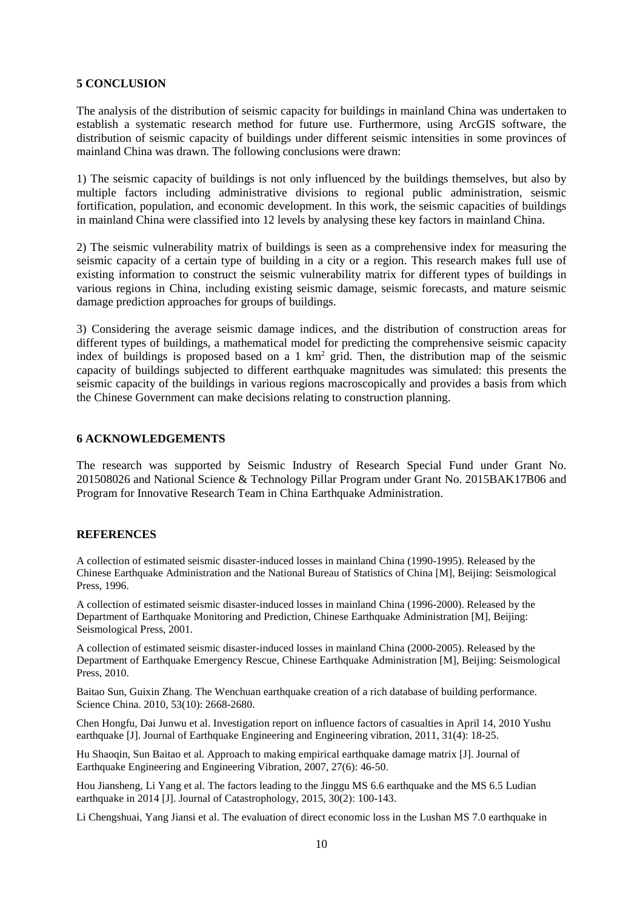## **5 CONCLUSION**

The analysis of the distribution of seismic capacity for buildings in mainland China was undertaken to establish a systematic research method for future use. Furthermore, using ArcGIS software, the distribution of seismic capacity of buildings under different seismic intensities in some provinces of mainland China was drawn. The following conclusions were drawn:

1) The seismic capacity of buildings is not only influenced by the buildings themselves, but also by multiple factors including administrative divisions to regional public administration, seismic fortification, population, and economic development. In this work, the seismic capacities of buildings in mainland China were classified into 12 levels by analysing these key factors in mainland China.

2) The seismic vulnerability matrix of buildings is seen as a comprehensive index for measuring the seismic capacity of a certain type of building in a city or a region. This research makes full use of existing information to construct the seismic vulnerability matrix for different types of buildings in various regions in China, including existing seismic damage, seismic forecasts, and mature seismic damage prediction approaches for groups of buildings.

3) Considering the average seismic damage indices, and the distribution of construction areas for different types of buildings, a mathematical model for predicting the comprehensive seismic capacity index of buildings is proposed based on a 1 km<sup>2</sup> grid. Then, the distribution map of the seismic capacity of buildings subjected to different earthquake magnitudes was simulated: this presents the seismic capacity of the buildings in various regions macroscopically and provides a basis from which the Chinese Government can make decisions relating to construction planning.

## **6 ACKNOWLEDGEMENTS**

The research was supported by Seismic Industry of Research Special Fund under Grant No. 201508026 and National Science & Technology Pillar Program under Grant No. 2015BAK17B06 and Program for Innovative Research Team in China Earthquake Administration.

## **REFERENCES**

A collection of estimated seismic disaster-induced losses in mainland China (1990-1995). Released by the Chinese Earthquake Administration and the National Bureau of Statistics of China [M], Beijing: Seismological Press, 1996.

A collection of estimated seismic disaster-induced losses in mainland China (1996-2000). Released by the Department of Earthquake Monitoring and Prediction, Chinese Earthquake Administration [M], Beijing: Seismological Press, 2001.

A collection of estimated seismic disaster-induced losses in mainland China (2000-2005). Released by the Department of Earthquake Emergency Rescue, Chinese Earthquake Administration [M], Beijing: Seismological Press, 2010.

Baitao Sun, Guixin Zhang. The Wenchuan earthquake creation of a rich database of building performance. Science China. 2010, 53(10): 2668-2680.

Chen Hongfu, Dai Junwu et al. Investigation report on influence factors of casualties in April 14, 2010 Yushu earthquake [J]. Journal of Earthquake Engineering and Engineering vibration, 2011, 31(4): 18-25.

Hu Shaoqin, Sun Baitao et al. Approach to making empirical earthquake damage matrix [J]. Journal of Earthquake Engineering and Engineering Vibration, 2007, 27(6): 46-50.

Hou Jiansheng, Li Yang et al. The factors leading to the Jinggu MS 6.6 earthquake and the MS 6.5 Ludian earthquake in 2014 [J]. Journal of Catastrophology, 2015, 30(2): 100-143.

Li Chengshuai, Yang Jiansi et al. The evaluation of direct economic loss in the Lushan MS 7.0 earthquake in